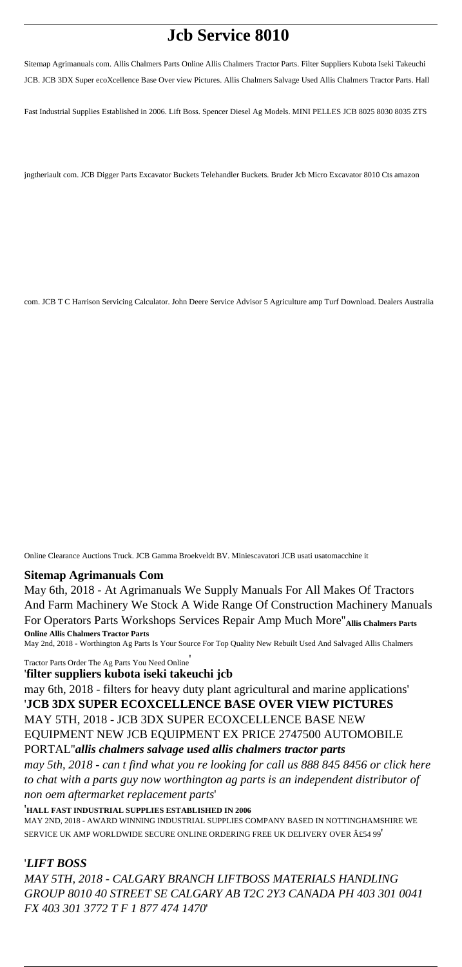# **Jcb Service 8010**

Sitemap Agrimanuals com. Allis Chalmers Parts Online Allis Chalmers Tractor Parts. Filter Suppliers Kubota Iseki Takeuchi JCB. JCB 3DX Super ecoXcellence Base Over view Pictures. Allis Chalmers Salvage Used Allis Chalmers Tractor Parts. Hall

Fast Industrial Supplies Established in 2006. Lift Boss. Spencer Diesel Ag Models. MINI PELLES JCB 8025 8030 8035 ZTS

jngtheriault com. JCB Digger Parts Excavator Buckets Telehandler Buckets. Bruder Jcb Micro Excavator 8010 Cts amazon

com. JCB T C Harrison Servicing Calculator. John Deere Service Advisor 5 Agriculture amp Turf Download. Dealers Australia

Online Clearance Auctions Truck. JCB Gamma Broekveldt BV. Miniescavatori JCB usati usatomacchine it

#### **Sitemap Agrimanuals Com**

May 6th, 2018 - At Agrimanuals We Supply Manuals For All Makes Of Tractors And Farm Machinery We Stock A Wide Range Of Construction Machinery Manuals For Operators Parts Workshops Services Repair Amp Much More''**Allis Chalmers Parts Online Allis Chalmers Tractor Parts**

MAY 2ND, 2018 - AWARD WINNING INDUSTRIAL SUPPLIES COMPANY BASED IN NOTTINGHAMSHIRE WE SERVICE UK AMP WORLDWIDE SECURE ONLINE ORDERING FREE UK DELIVERY OVER £54 99'

May 2nd, 2018 - Worthington Ag Parts Is Your Source For Top Quality New Rebuilt Used And Salvaged Allis Chalmers

Tractor Parts Order The Ag Parts You Need Online'

'**filter suppliers kubota iseki takeuchi jcb**

may 6th, 2018 - filters for heavy duty plant agricultural and marine applications' '**JCB 3DX SUPER ECOXCELLENCE BASE OVER VIEW PICTURES** MAY 5TH, 2018 - JCB 3DX SUPER ECOXCELLENCE BASE NEW EQUIPMENT NEW JCB EQUIPMENT EX PRICE 2747500 AUTOMOBILE PORTAL''*allis chalmers salvage used allis chalmers tractor parts may 5th, 2018 - can t find what you re looking for call us 888 845 8456 or click here to chat with a parts guy now worthington ag parts is an independent distributor of non oem aftermarket replacement parts*'

'**HALL FAST INDUSTRIAL SUPPLIES ESTABLISHED IN 2006**

# '*LIFT BOSS MAY 5TH, 2018 - CALGARY BRANCH LIFTBOSS MATERIALS HANDLING GROUP 8010 40 STREET SE CALGARY AB T2C 2Y3 CANADA PH 403 301 0041 FX 403 301 3772 T F 1 877 474 1470*'